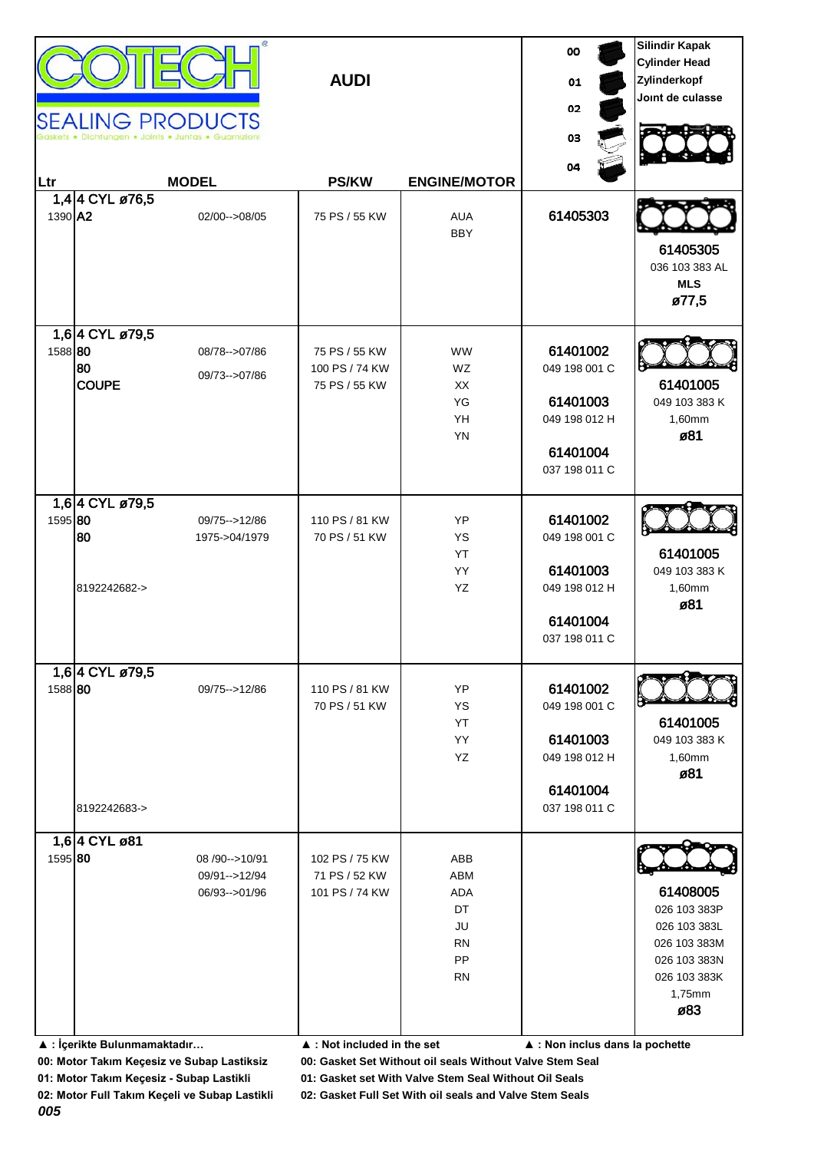| Ltr<br>1390 A2 | 1,4 4 CYL ø76,5                               | <b>SEALING PRODUCTS</b><br>igen • Joints • Juntas • Guarr<br><b>MODEL</b><br>02/00 -- > 08/05 | <b>AUDI</b><br><b>PS/KW</b><br>75 PS / 55 KW                                                    | <b>ENGINE/MOTOR</b><br><b>AUA</b><br><b>BBY</b>               | oo<br>01<br>02<br>03<br>04<br>61405303                                              | <b>Silindir Kapak</b><br><b>Cylinder Head</b><br>Zylinderkopf<br>Joint de culasse<br>61405305<br>036 103 383 AL<br><b>MLS</b><br>ø77,5 |
|----------------|-----------------------------------------------|-----------------------------------------------------------------------------------------------|-------------------------------------------------------------------------------------------------|---------------------------------------------------------------|-------------------------------------------------------------------------------------|----------------------------------------------------------------------------------------------------------------------------------------|
| 1588 80        | 1,64 CYL ø79,5<br>80<br><b>COUPE</b>          | 08/78 -- > 07/86<br>09/73 -- > 07/86                                                          | 75 PS / 55 KW<br>100 PS / 74 KW<br>75 PS / 55 KW                                                | <b>WW</b><br>WZ<br>XX<br>YG<br>YH<br>YN                       | 61401002<br>049 198 001 C<br>61401003<br>049 198 012 H<br>61401004<br>037 198 011 C | 61401005<br>049 103 383 K<br>1,60mm<br>ø81                                                                                             |
| 1595 80        | 1,64 CYL ø79,5<br>80<br>8192242682->          | 09/75 - > 12/86<br>1975->04/1979                                                              | 110 PS / 81 KW<br>70 PS / 51 KW                                                                 | YP<br>YS<br>YT<br>YY<br>YZ                                    | 61401002<br>049 198 001 C<br>61401003<br>049 198 012 H<br>61401004<br>037 198 011 C | 61401005<br>049 103 383 K<br>1,60mm<br>ø81                                                                                             |
| 1588 80        | 1,6 4 CYL ø79,5<br>8192242683->               | 09/75 -- > 12/86                                                                              | 110 PS / 81 KW<br>70 PS / 51 KW                                                                 | YP<br>YS<br>YT<br>YY<br>YZ                                    | 61401002<br>049 198 001 C<br>61401003<br>049 198 012 H<br>61401004<br>037 198 011 C | 61401005<br>049 103 383 K<br>1,60mm<br>ø81                                                                                             |
| 1595 80        | 1,6 4 CYL ø81<br>▲ : İçerikte Bulunmamaktadır | 08/90 -- > 10/91<br>09/91-->12/94<br>06/93-->01/96                                            | 102 PS / 75 KW<br>71 PS / 52 KW<br>101 PS / 74 KW<br>$\blacktriangle$ : Not included in the set | ABB<br>ABM<br>ADA<br>DT<br>JU<br><b>RN</b><br>PP<br><b>RN</b> | ▲ : Non inclus dans la pochette                                                     | 61408005<br>026 103 383P<br>026 103 383L<br>026 103 383M<br>026 103 383N<br>026 103 383K<br>1,75mm<br>ø83                              |

**00: Motor Takım Keçesiz ve Subap Lastiksiz 00: Gasket Set Without oil seals Without Valve Stem Seal**

**01: Motor Takım Keçesiz - Subap Lastikli 01: Gasket set With Valve Stem Seal Without Oil Seals**

**02: Motor Full Takım Keçeli ve Subap Lastikli 02: Gasket Full Set With oil seals and Valve Stem Seals**

*005*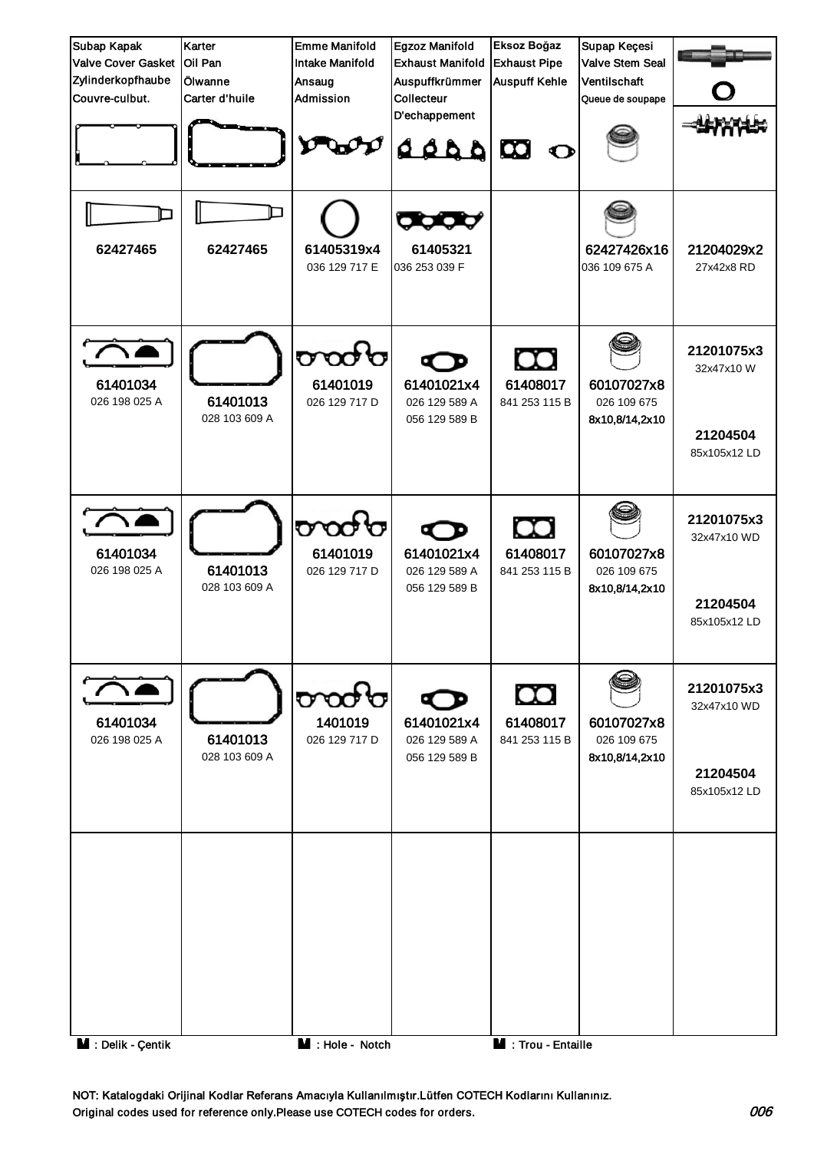| Subap Kapak<br><b>Valve Cover Gasket</b><br>Zylinderkopfhaube | Karter<br>Oil Pan<br>lÖlwanne | <b>Emme Manifold</b><br><b>Intake Manifold</b><br>Ansaug | Egzoz Manifold<br><b>Exhaust Manifold</b><br>Auspuffkrümmer | Eksoz Boğaz<br><b>Exhaust Pipe</b><br><b>Auspuff Kehle</b> | Supap Keçesi<br><b>Valve Stem Seal</b><br>Ventilschaft |                                                       |
|---------------------------------------------------------------|-------------------------------|----------------------------------------------------------|-------------------------------------------------------------|------------------------------------------------------------|--------------------------------------------------------|-------------------------------------------------------|
| Couvre-culbut.                                                | Carter d'huile                | Admission                                                | Collecteur<br>D'echappement                                 |                                                            | Queue de soupape                                       |                                                       |
|                                                               |                               |                                                          | daaa                                                        | $\boldsymbol{\omega}$<br>$\bullet$                         |                                                        |                                                       |
| 62427465                                                      | 62427465                      | 61405319x4<br>036 129 717 E                              | œœ<br>61405321<br>036 253 039 F                             |                                                            | 62427426x16<br>036 109 675 A                           | 21204029x2<br>27x42x8 RD                              |
| 61401034<br>026 198 025 A                                     | 61401013<br>028 103 609 A     | တထ<br>61401019<br>026 129 717 D                          | 61401021x4<br>026 129 589 A<br>056 129 589 B                | œ<br>61408017<br>841 253 115 B                             | 60107027x8<br>026 109 675<br>8x10,8/14,2x10            | 21201075x3<br>32x47x10W<br>21204504<br>85x105x12 LD   |
| 61401034<br>026 198 025 A                                     | 61401013<br>028 103 609 A     | రాయ<br>61401019<br>026 129 717 D                         | 61401021x4<br>026 129 589 A<br>056 129 589 B                | $\infty$<br>61408017<br>841 253 115 B                      | 60107027x8<br>026 109 675<br>8x10,8/14,2x10            | 21201075x3<br>32x47x10 WD<br>21204504<br>85x105x12 LD |
| 61401034<br>026 198 025 A                                     | 61401013<br>028 103 609 A     | <b>a oa k</b><br>1401019<br>026 129 717 D                | 61401021x4<br>026 129 589 A<br>056 129 589 B                | œ<br>61408017<br>841 253 115 B                             | 60107027x8<br>026 109 675<br>8x10,8/14,2x10            | 21201075x3<br>32x47x10 WD<br>21204504<br>85x105x12 LD |
| M : Delik - Çentik                                            |                               | $M :$ Hole - Notch                                       |                                                             | M : Trou - Entaille                                        |                                                        |                                                       |

NOT: Katalogdaki Orijinal Kodlar Referans Amacıyla Kullanılmıştır.Lütfen COTECH Kodlarını Kullanınız. Original codes used for reference only.Please use COTECH codes for orders. 006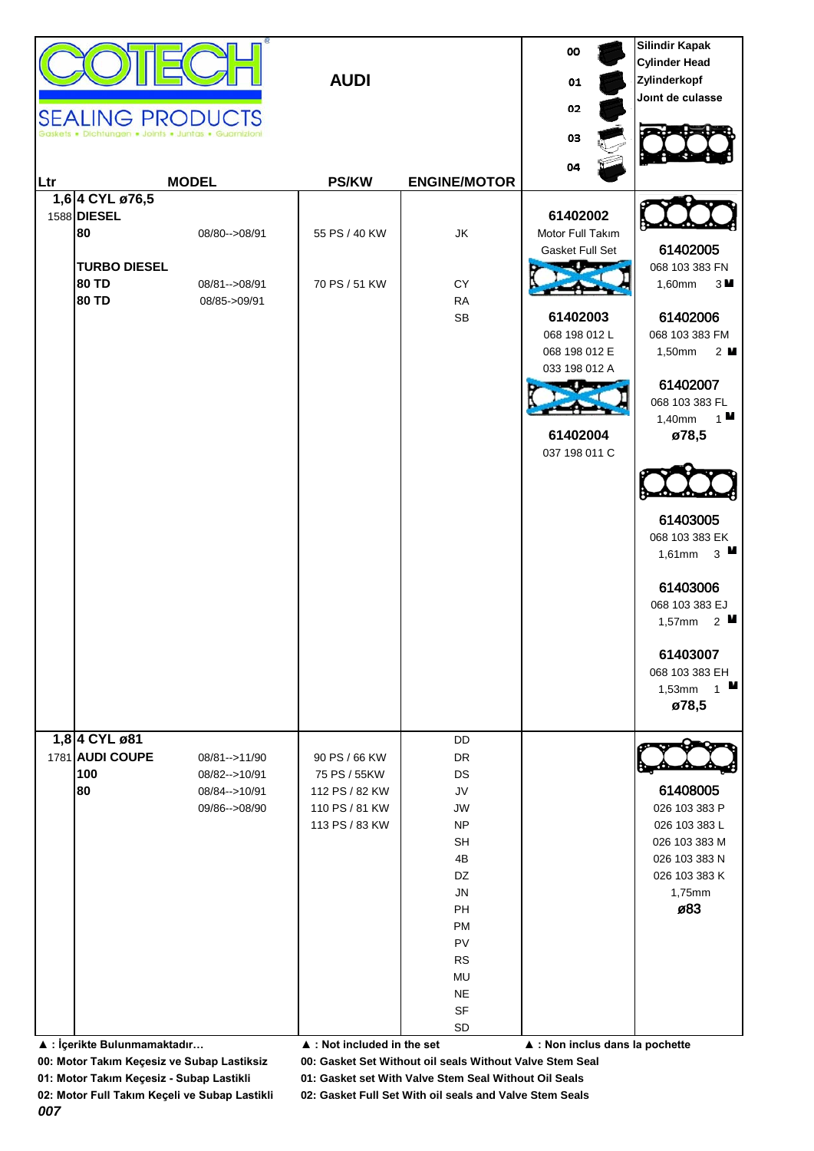|     |                                               | SEALING PRODUCTS<br>Dichtungen . Joints . Juntas . Guarnizion | <b>AUDI</b>                                     |                                          | 00<br>01<br>02<br>03                            | <b>Silindir Kapak</b><br><b>Cylinder Head</b><br>Zylinderkopf<br>Joint de culasse |
|-----|-----------------------------------------------|---------------------------------------------------------------|-------------------------------------------------|------------------------------------------|-------------------------------------------------|-----------------------------------------------------------------------------------|
| Ltr |                                               | <b>MODEL</b>                                                  | <b>PS/KW</b>                                    | <b>ENGINE/MOTOR</b>                      | 04                                              |                                                                                   |
|     | 1,6 4 CYL ø76,5<br>1588 DIESEL<br>80          | 08/80 -- > 08/91                                              | 55 PS / 40 KW                                   | JK                                       | 61402002<br>Motor Full Takım<br>Gasket Full Set | 61402005                                                                          |
|     | <b>TURBO DIESEL</b><br>80 TD<br><b>80 TD</b>  | 08/81 -- > 08/91<br>08/85->09/91                              | 70 PS / 51 KW                                   | CY<br>${\sf RA}$<br><b>SB</b>            | 61402003                                        | 068 103 383 FN<br>1,60mm<br>3M<br>61402006                                        |
|     |                                               |                                                               |                                                 |                                          | 068 198 012 L<br>068 198 012 E<br>033 198 012 A | 068 103 383 FM<br>1,50mm<br>2 <sub>u</sub><br>61402007                            |
|     |                                               |                                                               |                                                 |                                          | 61402004<br>037 198 011 C                       | 068 103 383 FL<br>1,40mm $\frac{1}{2}$ 1■<br>ø78,5                                |
|     |                                               |                                                               |                                                 |                                          |                                                 |                                                                                   |
|     |                                               |                                                               |                                                 |                                          |                                                 | 61403005<br>068 103 383 EK<br>1,61mm $3$ ■                                        |
|     |                                               |                                                               |                                                 |                                          |                                                 | 61403006<br>068 103 383 EJ<br>1,57mm $2$ $\blacksquare$                           |
|     |                                               |                                                               |                                                 |                                          |                                                 | 61403007<br>068 103 383 EH<br>$1$ M<br>1,53mm<br>ø78,5                            |
|     | 1,8 4 CYL ø81<br>1781 AUDI COUPE<br>100<br>80 | 08/81 -- > 11/90<br>08/82 -- > 10/91<br>08/84 -- > 10/91      | 90 PS / 66 KW<br>75 PS / 55KW<br>112 PS / 82 KW | DD<br>DR<br>DS<br>${\sf J}{\sf V}$       |                                                 | 61408005                                                                          |
|     |                                               | 09/86-->08/90                                                 | 110 PS / 81 KW<br>113 PS / 83 KW                | JW<br><b>NP</b><br><b>SH</b><br>4B<br>DZ |                                                 | 026 103 383 P<br>026 103 383 L<br>026 103 383 M<br>026 103 383 N                  |
|     |                                               |                                                               |                                                 | <b>JN</b><br><b>PH</b><br>PM             |                                                 | 026 103 383 K<br>1,75mm<br>ø83                                                    |
|     |                                               |                                                               |                                                 | PV<br><b>RS</b><br>MU<br><b>NE</b>       |                                                 |                                                                                   |
|     | ▲ : İçerikte Bulunmamaktadır                  |                                                               | ▲ : Not included in the set                     | SF<br>SD                                 | ▲ : Non inclus dans la pochette                 |                                                                                   |

**00: Motor Takım Keçesiz ve Subap Lastiksiz 00: Gasket Set Without oil seals Without Valve Stem Seal**

**01: Motor Takım Keçesiz - Subap Lastikli 01: Gasket set With Valve Stem Seal Without Oil Seals**

**02: Motor Full Takım Keçeli ve Subap Lastikli 02: Gasket Full Set With oil seals and Valve Stem Seals**

*007*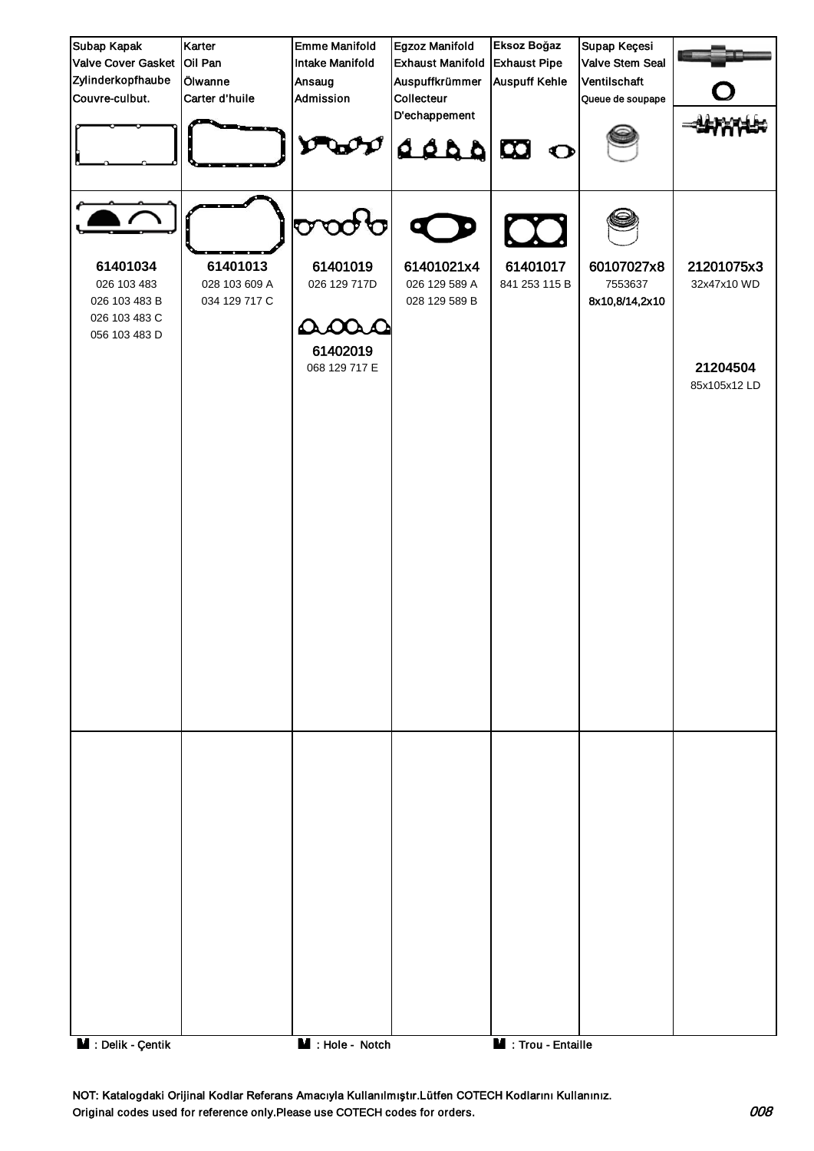| Subap Kapak                                                                | Karter                                     | <b>Emme Manifold</b>             | Egzoz Manifold                               | Eksoz Boğaz               | Supap Keçesi                            |                           |
|----------------------------------------------------------------------------|--------------------------------------------|----------------------------------|----------------------------------------------|---------------------------|-----------------------------------------|---------------------------|
| Valve Cover Gasket Oil Pan                                                 |                                            | <b>Intake Manifold</b>           | <b>Exhaust Manifold</b>                      | <b>Exhaust Pipe</b>       | Valve Stem Seal                         |                           |
| Zylinderkopfhaube                                                          | Ölwanne                                    | Ansaug                           | Auspuffkrümmer                               | <b>Auspuff Kehle</b>      | Ventilschaft                            |                           |
| Couvre-culbut.                                                             | Carter d'huile                             | Admission                        | Collecteur<br>D'echappement                  |                           | Queue de soupape                        |                           |
|                                                                            |                                            |                                  | $\alpha$ $\alpha$ $\alpha$                   |                           |                                         |                           |
|                                                                            |                                            | $\mathbf{\nabla}$<br>v           | O<br>O                                       |                           |                                         |                           |
| 61401034<br>026 103 483<br>026 103 483 B<br>026 103 483 C<br>056 103 483 D | 61401013<br>028 103 609 A<br>034 129 717 C | 61401019<br>026 129 717D<br>adas | 61401021x4<br>026 129 589 A<br>028 129 589 B | 61401017<br>841 253 115 B | 60107027x8<br>7553637<br>8x10,8/14,2x10 | 21201075x3<br>32x47x10 WD |
|                                                                            |                                            | 61402019<br>068 129 717 E        |                                              |                           |                                         | 21204504<br>85x105x12 LD  |
|                                                                            |                                            |                                  |                                              |                           |                                         |                           |
|                                                                            |                                            |                                  |                                              |                           |                                         |                           |
|                                                                            |                                            |                                  |                                              |                           |                                         |                           |
|                                                                            |                                            |                                  |                                              |                           |                                         |                           |
|                                                                            |                                            |                                  |                                              |                           |                                         |                           |
|                                                                            |                                            |                                  |                                              |                           |                                         |                           |
|                                                                            |                                            |                                  |                                              |                           |                                         |                           |
|                                                                            |                                            |                                  |                                              |                           |                                         |                           |
|                                                                            |                                            |                                  |                                              |                           |                                         |                           |
|                                                                            |                                            |                                  |                                              |                           |                                         |                           |
| <b>M</b> : Delik - Çentik                                                  |                                            | $\blacksquare$ : Hole - Notch    |                                              | Trou - Entaille           |                                         |                           |

NOT: Katalogdaki Orijinal Kodlar Referans Amacıyla Kullanılmıştır.Lütfen COTECH Kodlarını Kullanınız. Original codes used for reference only.Please use COTECH codes for orders. 008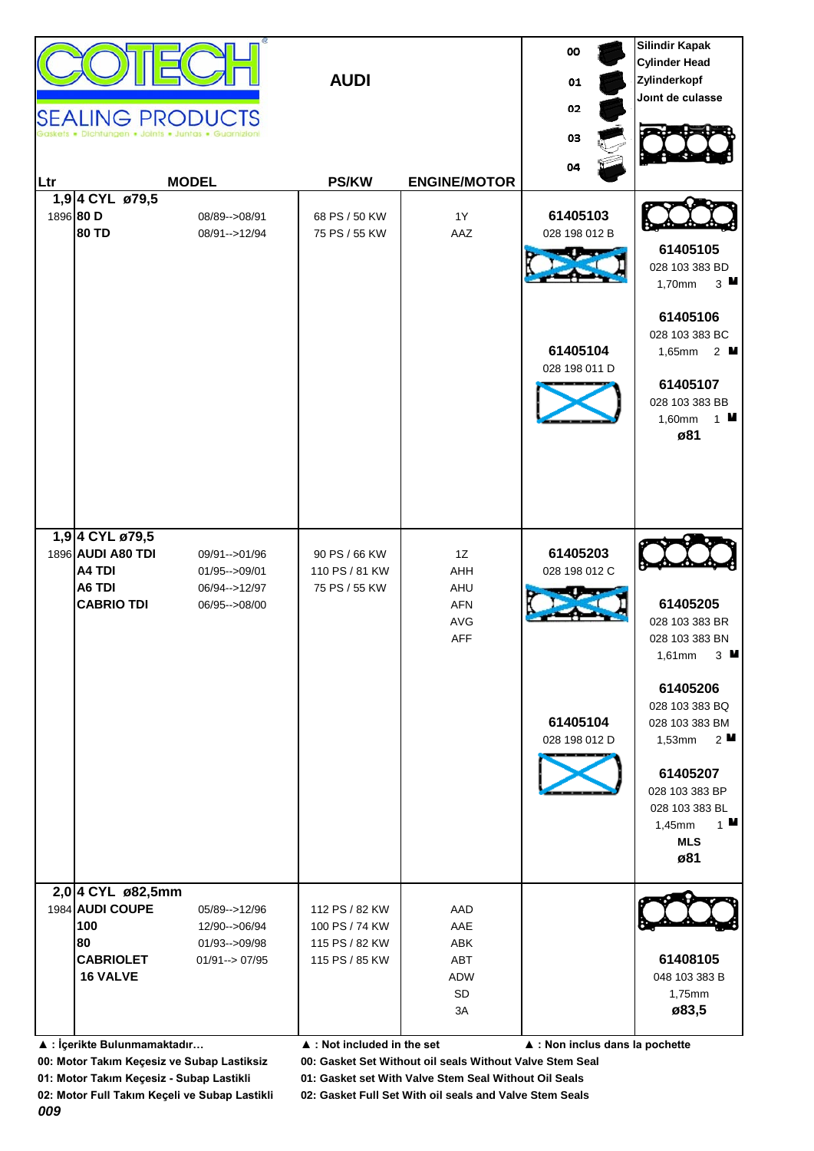|            |                              |                                 |                                            |                     | 00                              | <b>Silindir Kapak</b><br><b>Cylinder Head</b> |
|------------|------------------------------|---------------------------------|--------------------------------------------|---------------------|---------------------------------|-----------------------------------------------|
|            |                              |                                 | <b>AUDI</b>                                |                     |                                 | Zylinderkopf                                  |
|            |                              |                                 |                                            |                     | 01                              | Joint de culasse                              |
|            |                              | <b>SEALING PRODUCTS</b>         |                                            |                     | 02                              |                                               |
|            |                              | ungen • Joints • Juntas • Guarn |                                            |                     | 03                              |                                               |
|            |                              |                                 |                                            |                     |                                 |                                               |
|            |                              |                                 |                                            |                     | 04                              |                                               |
| <b>Ltr</b> | 1,94 CYL ø79,5               | <b>MODEL</b>                    | <b>PS/KW</b>                               | <b>ENGINE/MOTOR</b> |                                 |                                               |
|            | 1896 80 D                    | 08/89 -- > 08/91                | 68 PS / 50 KW                              | 1Y                  | 61405103                        |                                               |
|            | 80 TD                        | 08/91-->12/94                   | 75 PS / 55 KW                              | AAZ                 | 028 198 012 B                   |                                               |
|            |                              |                                 |                                            |                     |                                 | 61405105                                      |
|            |                              |                                 |                                            |                     |                                 | 028 103 383 BD                                |
|            |                              |                                 |                                            |                     |                                 | $3$ M<br>1,70mm                               |
|            |                              |                                 |                                            |                     |                                 | 61405106                                      |
|            |                              |                                 |                                            |                     |                                 | 028 103 383 BC                                |
|            |                              |                                 |                                            |                     | 61405104                        | 1,65mm 2 <b>M</b>                             |
|            |                              |                                 |                                            |                     | 028 198 011 D                   |                                               |
|            |                              |                                 |                                            |                     |                                 | 61405107                                      |
|            |                              |                                 |                                            |                     |                                 | 028 103 383 BB                                |
|            |                              |                                 |                                            |                     |                                 | 1,60mm<br>$1$ M<br>ø81                        |
|            |                              |                                 |                                            |                     |                                 |                                               |
|            |                              |                                 |                                            |                     |                                 |                                               |
|            |                              |                                 |                                            |                     |                                 |                                               |
|            |                              |                                 |                                            |                     |                                 |                                               |
|            | 1,9 4 CYL ø79,5              |                                 |                                            |                     |                                 |                                               |
|            | 1896 AUDI A80 TDI            | 09/91-->01/96                   | 90 PS / 66 KW                              | 1Z                  | 61405203                        |                                               |
|            | A4 TDI                       | $01/95 - >09/01$                | 110 PS / 81 KW                             | AHH                 | 028 198 012 C                   |                                               |
|            | A6 TDI                       | 06/94 -- > 12/97                | 75 PS / 55 KW                              | AHU                 |                                 |                                               |
|            | <b>CABRIO TDI</b>            | 06/95 -- > 08/00                |                                            | <b>AFN</b>          |                                 | 61405205                                      |
|            |                              |                                 |                                            | AVG                 |                                 | 028 103 383 BR                                |
|            |                              |                                 |                                            | <b>AFF</b>          |                                 | 028 103 383 BN<br>$3$ M<br>1,61mm             |
|            |                              |                                 |                                            |                     |                                 |                                               |
|            |                              |                                 |                                            |                     |                                 | 61405206                                      |
|            |                              |                                 |                                            |                     |                                 | 028 103 383 BQ                                |
|            |                              |                                 |                                            |                     | 61405104                        | 028 103 383 BM                                |
|            |                              |                                 |                                            |                     | 028 198 012 D                   | $2^{\mathsf{M}}$<br>1,53mm                    |
|            |                              |                                 |                                            |                     |                                 | 61405207                                      |
|            |                              |                                 |                                            |                     |                                 | 028 103 383 BP                                |
|            |                              |                                 |                                            |                     |                                 | 028 103 383 BL                                |
|            |                              |                                 |                                            |                     |                                 | $1$ M<br>1,45mm                               |
|            |                              |                                 |                                            |                     |                                 | <b>MLS</b>                                    |
|            |                              |                                 |                                            |                     |                                 | ø81                                           |
|            | 2,0 4 CYL ø82,5mm            |                                 |                                            |                     |                                 |                                               |
|            | 1984 AUDI COUPE              | 05/89 -- > 12/96                | 112 PS / 82 KW                             | AAD                 |                                 |                                               |
|            | 100                          | 12/90-->06/94                   | 100 PS / 74 KW                             | AAE                 |                                 |                                               |
|            | 80                           | 01/93 -- > 09/98                | 115 PS / 82 KW                             | ABK                 |                                 |                                               |
|            | <b>CABRIOLET</b>             | $01/91 - > 07/95$               | 115 PS / 85 KW                             | ABT                 |                                 | 61408105                                      |
|            | <b>16 VALVE</b>              |                                 |                                            | ADW<br>SD           |                                 | 048 103 383 B<br>1,75mm                       |
|            |                              |                                 |                                            | 3A                  |                                 | ø83,5                                         |
|            |                              |                                 |                                            |                     |                                 |                                               |
|            | ▲ : İçerikte Bulunmamaktadır |                                 | $\blacktriangle$ : Not included in the set |                     | ▲ : Non inclus dans la pochette |                                               |

**00: Motor Takım Keçesiz ve Subap Lastiksiz 00: Gasket Set Without oil seals Without Valve Stem Seal**

*009*

**02: Motor Full Takım Keçeli ve Subap Lastikli 02: Gasket Full Set With oil seals and Valve Stem Seals**

**01: Motor Takım Keçesiz - Subap Lastikli 01: Gasket set With Valve Stem Seal Without Oil Seals**